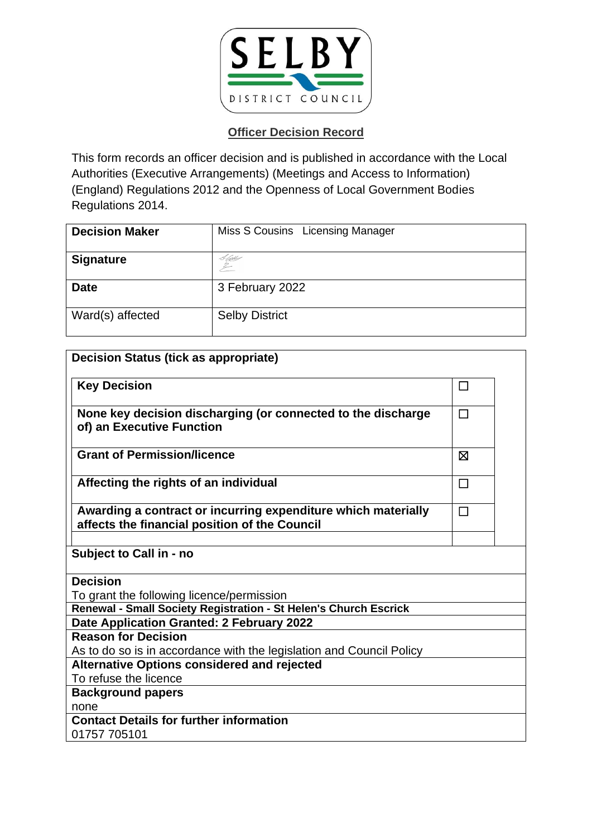

| <b>Decision Maker</b> | Miss S Cousins Licensing Manager |
|-----------------------|----------------------------------|
| <b>Signature</b>      | & Abbey                          |
| <b>Date</b>           | 3 February 2022                  |
| Ward(s) affected      | <b>Selby District</b>            |

| <b>Decision Status (tick as appropriate)</b>                                                                   |        |  |
|----------------------------------------------------------------------------------------------------------------|--------|--|
| <b>Key Decision</b>                                                                                            | □      |  |
| None key decision discharging (or connected to the discharge<br>of) an Executive Function                      | $\Box$ |  |
| <b>Grant of Permission/licence</b>                                                                             | ⊠      |  |
| Affecting the rights of an individual                                                                          | □      |  |
| Awarding a contract or incurring expenditure which materially<br>affects the financial position of the Council | $\Box$ |  |
| Subject to Call in - no                                                                                        |        |  |
| <b>Decision</b>                                                                                                |        |  |
| To grant the following licence/permission                                                                      |        |  |
| Renewal - Small Society Registration - St Helen's Church Escrick                                               |        |  |
| Date Application Granted: 2 February 2022                                                                      |        |  |
| <b>Reason for Decision</b>                                                                                     |        |  |
| As to do so is in accordance with the legislation and Council Policy                                           |        |  |
| <b>Alternative Options considered and rejected</b>                                                             |        |  |
| To refuse the licence                                                                                          |        |  |
| <b>Background papers</b>                                                                                       |        |  |
| none                                                                                                           |        |  |
| <b>Contact Details for further information</b>                                                                 |        |  |
| 01757 705101                                                                                                   |        |  |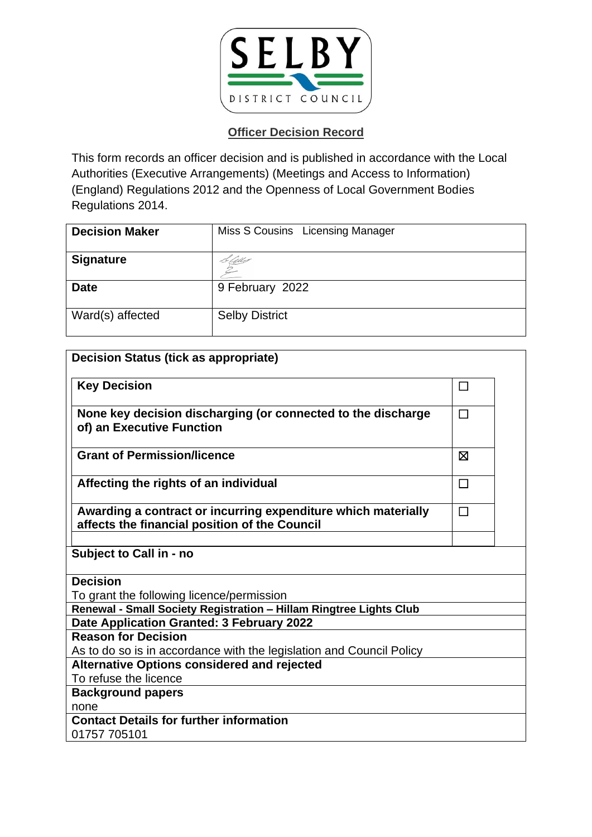

| <b>Decision Maker</b> | Miss S Cousins Licensing Manager |
|-----------------------|----------------------------------|
| <b>Signature</b>      | Litts                            |
| <b>Date</b>           | 9 February 2022                  |
| Ward(s) affected      | <b>Selby District</b>            |

| <b>Decision Status (tick as appropriate)</b>                                                                   |        |  |
|----------------------------------------------------------------------------------------------------------------|--------|--|
| <b>Key Decision</b>                                                                                            | $\Box$ |  |
| None key decision discharging (or connected to the discharge<br>of) an Executive Function                      | $\Box$ |  |
| <b>Grant of Permission/licence</b>                                                                             | X      |  |
| Affecting the rights of an individual                                                                          | $\Box$ |  |
| Awarding a contract or incurring expenditure which materially<br>affects the financial position of the Council | $\Box$ |  |
| Subject to Call in - no                                                                                        |        |  |
| <b>Decision</b>                                                                                                |        |  |
| To grant the following licence/permission                                                                      |        |  |
| Renewal - Small Society Registration - Hillam Ringtree Lights Club                                             |        |  |
| Date Application Granted: 3 February 2022                                                                      |        |  |
| <b>Reason for Decision</b>                                                                                     |        |  |
| As to do so is in accordance with the legislation and Council Policy                                           |        |  |
| <b>Alternative Options considered and rejected</b>                                                             |        |  |
| To refuse the licence                                                                                          |        |  |
| <b>Background papers</b>                                                                                       |        |  |
| none                                                                                                           |        |  |
| <b>Contact Details for further information</b>                                                                 |        |  |
| 01757 705101                                                                                                   |        |  |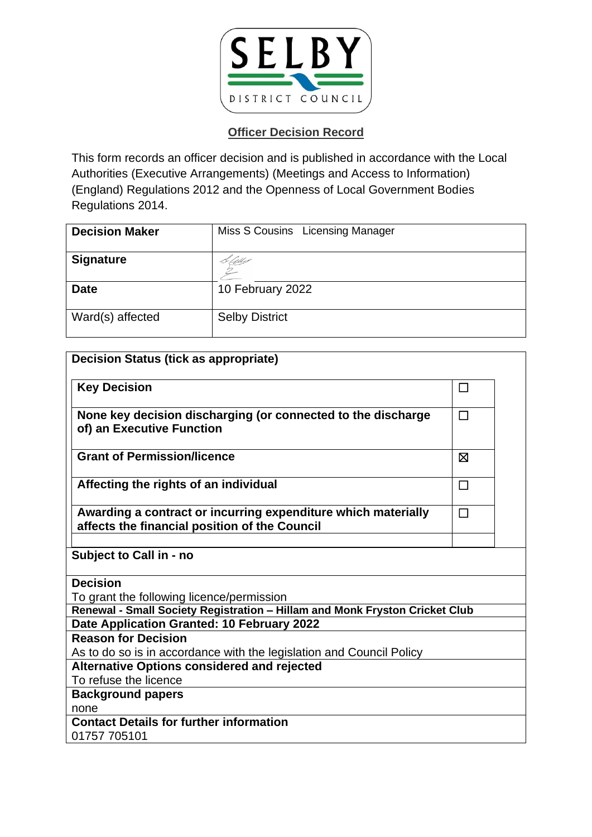

| <b>Decision Maker</b> | Miss S Cousins Licensing Manager |
|-----------------------|----------------------------------|
| <b>Signature</b>      | Cell                             |
| <b>Date</b>           | 10 February 2022                 |
| Ward(s) affected      | <b>Selby District</b>            |

| <b>Decision Status (tick as appropriate)</b>                                                                   |        |
|----------------------------------------------------------------------------------------------------------------|--------|
| <b>Key Decision</b>                                                                                            | $\Box$ |
| None key decision discharging (or connected to the discharge<br>of) an Executive Function                      | $\Box$ |
| <b>Grant of Permission/licence</b>                                                                             | X      |
| Affecting the rights of an individual                                                                          | $\Box$ |
| Awarding a contract or incurring expenditure which materially<br>affects the financial position of the Council | $\Box$ |
| <b>Subject to Call in - no</b>                                                                                 |        |
| <b>Decision</b>                                                                                                |        |
| To grant the following licence/permission                                                                      |        |
| Renewal - Small Society Registration - Hillam and Monk Fryston Cricket Club                                    |        |
| Date Application Granted: 10 February 2022                                                                     |        |
| <b>Reason for Decision</b>                                                                                     |        |
| As to do so is in accordance with the legislation and Council Policy                                           |        |
| <b>Alternative Options considered and rejected</b><br>To refuse the licence                                    |        |
|                                                                                                                |        |
| <b>Background papers</b><br>none                                                                               |        |
| <b>Contact Details for further information</b>                                                                 |        |
| 01757 705101                                                                                                   |        |
|                                                                                                                |        |